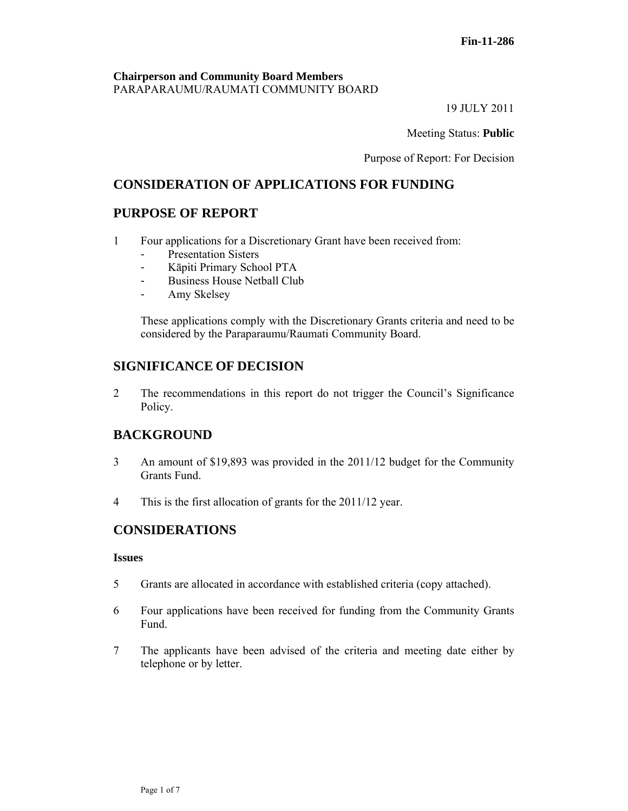#### **Chairperson and Community Board Members** PARAPARAUMU/RAUMATI COMMUNITY BOARD

19 JULY 2011

Meeting Status: **Public**

Purpose of Report: For Decision

# **CONSIDERATION OF APPLICATIONS FOR FUNDING**

# **PURPOSE OF REPORT**

- 1 Four applications for a Discretionary Grant have been received from:
	- Presentation Sisters
	- Kāpiti Primary School PTA
	- Business House Netball Club
	- Amy Skelsey

These applications comply with the Discretionary Grants criteria and need to be considered by the Paraparaumu/Raumati Community Board.

# **SIGNIFICANCE OF DECISION**

2 The recommendations in this report do not trigger the Council's Significance Policy.

# **BACKGROUND**

- 3 An amount of \$19,893 was provided in the 2011/12 budget for the Community Grants Fund.
- 4 This is the first allocation of grants for the 2011/12 year.

# **CONSIDERATIONS**

#### **Issues**

- 5 Grants are allocated in accordance with established criteria (copy attached).
- 6 Four applications have been received for funding from the Community Grants Fund.
- 7 The applicants have been advised of the criteria and meeting date either by telephone or by letter.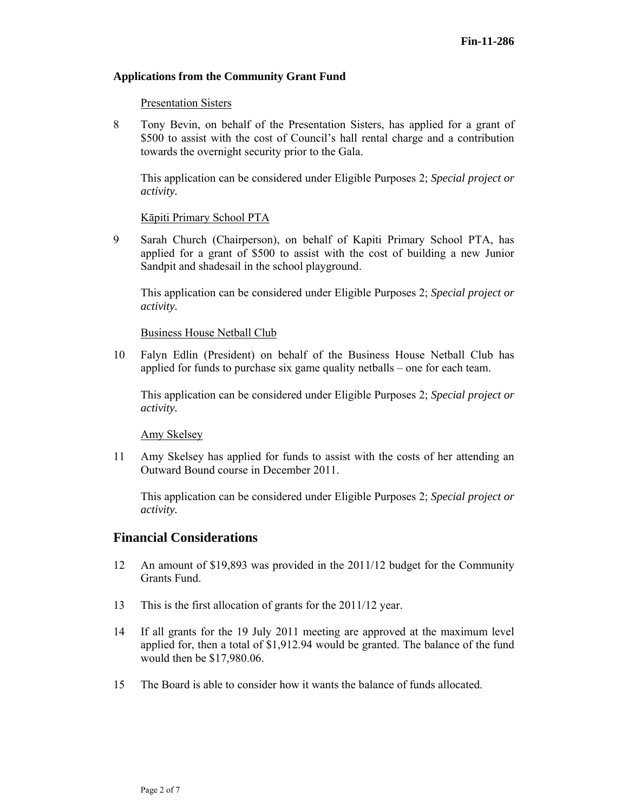#### **Applications from the Community Grant Fund**

#### Presentation Sisters

8 Tony Bevin, on behalf of the Presentation Sisters, has applied for a grant of \$500 to assist with the cost of Council's hall rental charge and a contribution towards the overnight security prior to the Gala.

This application can be considered under Eligible Purposes 2; *Special project or activity.* 

#### Kāpiti Primary School PTA

9 Sarah Church (Chairperson), on behalf of Kapiti Primary School PTA, has applied for a grant of \$500 to assist with the cost of building a new Junior Sandpit and shadesail in the school playground.

This application can be considered under Eligible Purposes 2; *Special project or activity.* 

#### Business House Netball Club

10 Falyn Edlin (President) on behalf of the Business House Netball Club has applied for funds to purchase six game quality netballs – one for each team.

This application can be considered under Eligible Purposes 2; *Special project or activity.* 

Amy Skelsey

11 Amy Skelsey has applied for funds to assist with the costs of her attending an Outward Bound course in December 2011.

This application can be considered under Eligible Purposes 2; *Special project or activity.* 

### **Financial Considerations**

- 12 An amount of \$19,893 was provided in the 2011/12 budget for the Community Grants Fund.
- 13 This is the first allocation of grants for the 2011/12 year.
- 14 If all grants for the 19 July 2011 meeting are approved at the maximum level applied for, then a total of \$1,912.94 would be granted. The balance of the fund would then be \$17,980.06.
- 15 The Board is able to consider how it wants the balance of funds allocated.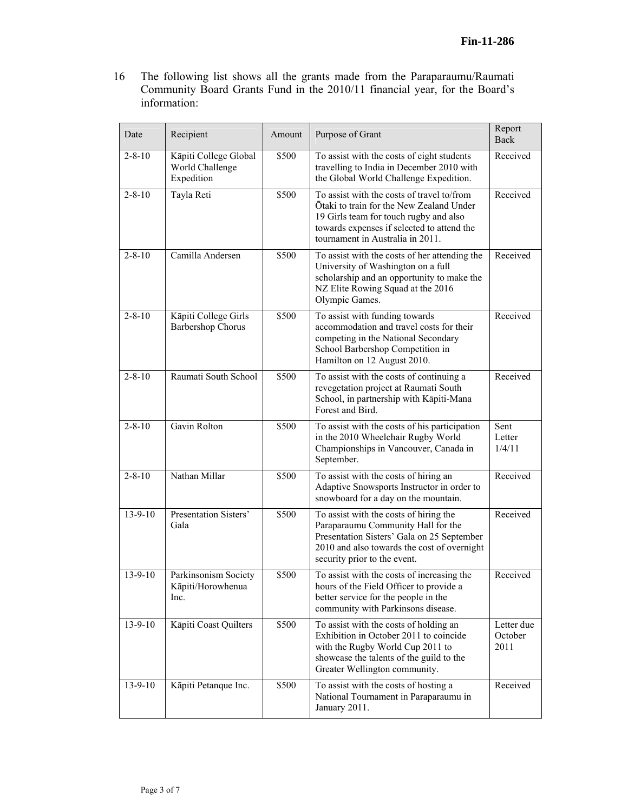16 The following list shows all the grants made from the Paraparaumu/Raumati Community Board Grants Fund in the 2010/11 financial year, for the Board's information:

| Date          | Recipient                                              | Amount | Purpose of Grant                                                                                                                                                                                                   | Report<br>Back                |
|---------------|--------------------------------------------------------|--------|--------------------------------------------------------------------------------------------------------------------------------------------------------------------------------------------------------------------|-------------------------------|
| $2 - 8 - 10$  | Kāpiti College Global<br>World Challenge<br>Expedition | \$500  | To assist with the costs of eight students<br>travelling to India in December 2010 with<br>the Global World Challenge Expedition.                                                                                  | Received                      |
| $2 - 8 - 10$  | Tayla Reti                                             | \$500  | To assist with the costs of travel to/from<br>Otaki to train for the New Zealand Under<br>19 Girls team for touch rugby and also<br>towards expenses if selected to attend the<br>tournament in Australia in 2011. | Received                      |
| $2 - 8 - 10$  | Camilla Andersen                                       | \$500  | To assist with the costs of her attending the<br>University of Washington on a full<br>scholarship and an opportunity to make the<br>NZ Elite Rowing Squad at the 2016<br>Olympic Games.                           | Received                      |
| $2 - 8 - 10$  | Kāpiti College Girls<br>Barbershop Chorus              | \$500  | To assist with funding towards<br>accommodation and travel costs for their<br>competing in the National Secondary<br>School Barbershop Competition in<br>Hamilton on 12 August 2010.                               | Received                      |
| $2 - 8 - 10$  | Raumati South School                                   | \$500  | To assist with the costs of continuing a<br>revegetation project at Raumati South<br>School, in partnership with Kāpiti-Mana<br>Forest and Bird.                                                                   | Received                      |
| $2 - 8 - 10$  | Gavin Rolton                                           | \$500  | To assist with the costs of his participation<br>in the 2010 Wheelchair Rugby World<br>Championships in Vancouver, Canada in<br>September.                                                                         | Sent<br>Letter<br>1/4/11      |
| $2 - 8 - 10$  | Nathan Millar                                          | \$500  | To assist with the costs of hiring an<br>Adaptive Snowsports Instructor in order to<br>snowboard for a day on the mountain.                                                                                        | Received                      |
| $13 - 9 - 10$ | Presentation Sisters'<br>Gala                          | \$500  | To assist with the costs of hiring the<br>Paraparaumu Community Hall for the<br>Presentation Sisters' Gala on 25 September<br>2010 and also towards the cost of overnight<br>security prior to the event.          | Received                      |
| $13 - 9 - 10$ | Parkinsonism Society<br>Kāpiti/Horowhenua<br>Inc.      | \$500  | To assist with the costs of increasing the<br>hours of the Field Officer to provide a<br>better service for the people in the<br>community with Parkinsons disease.                                                | Received                      |
| $13 - 9 - 10$ | Kāpiti Coast Quilters                                  | \$500  | To assist with the costs of holding an<br>Exhibition in October 2011 to coincide<br>with the Rugby World Cup 2011 to<br>showcase the talents of the guild to the<br>Greater Wellington community.                  | Letter due<br>October<br>2011 |
| $13 - 9 - 10$ | Kāpiti Petanque Inc.                                   | \$500  | To assist with the costs of hosting a<br>National Tournament in Paraparaumu in<br>January 2011.                                                                                                                    | Received                      |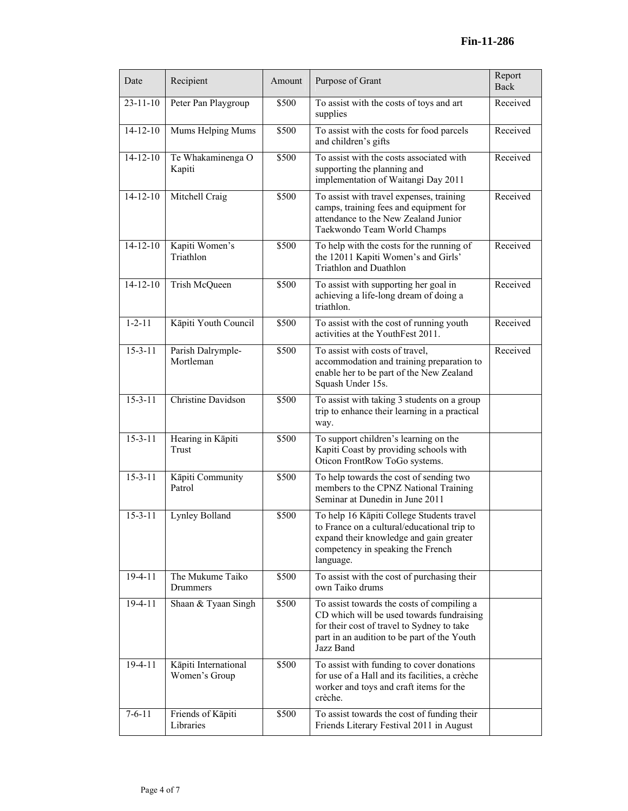| Date           | Recipient                             | Amount | Purpose of Grant                                                                                                                                                                                  | Report<br><b>Back</b> |
|----------------|---------------------------------------|--------|---------------------------------------------------------------------------------------------------------------------------------------------------------------------------------------------------|-----------------------|
| $23 - 11 - 10$ | Peter Pan Playgroup                   | \$500  | To assist with the costs of toys and art<br>supplies                                                                                                                                              | Received              |
| $14 - 12 - 10$ | Mums Helping Mums                     | \$500  | To assist with the costs for food parcels<br>and children's gifts                                                                                                                                 | Received              |
| $14 - 12 - 10$ | Te Whakaminenga O<br>Kapiti           | \$500  | To assist with the costs associated with<br>supporting the planning and<br>implementation of Waitangi Day 2011                                                                                    | Received              |
| $14 - 12 - 10$ | Mitchell Craig                        | \$500  | To assist with travel expenses, training<br>camps, training fees and equipment for<br>attendance to the New Zealand Junior<br>Taekwondo Team World Champs                                         | Received              |
| $14 - 12 - 10$ | Kapiti Women's<br>Triathlon           | \$500  | To help with the costs for the running of<br>the 12011 Kapiti Women's and Girls'<br>Triathlon and Duathlon                                                                                        | Received              |
| $14 - 12 - 10$ | Trish McQueen                         | \$500  | To assist with supporting her goal in<br>achieving a life-long dream of doing a<br>triathlon.                                                                                                     | Received              |
| $1 - 2 - 11$   | Kāpiti Youth Council                  | \$500  | To assist with the cost of running youth<br>activities at the YouthFest 2011.                                                                                                                     | Received              |
| $15 - 3 - 11$  | Parish Dalrymple-<br>Mortleman        | \$500  | To assist with costs of travel,<br>accommodation and training preparation to<br>enable her to be part of the New Zealand<br>Squash Under 15s.                                                     | Received              |
| $15 - 3 - 11$  | Christine Davidson                    | \$500  | To assist with taking 3 students on a group<br>trip to enhance their learning in a practical<br>way.                                                                                              |                       |
| $15 - 3 - 11$  | Hearing in Kāpiti<br>Trust            | \$500  | To support children's learning on the<br>Kapiti Coast by providing schools with<br>Oticon FrontRow ToGo systems.                                                                                  |                       |
| $15 - 3 - 11$  | Kāpiti Community<br>Patrol            | \$500  | To help towards the cost of sending two<br>members to the CPNZ National Training<br>Seminar at Dunedin in June 2011                                                                               |                       |
| $15 - 3 - 11$  | Lynley Bolland                        | \$500  | To help 16 Kāpiti College Students travel<br>to France on a cultural/educational trip to<br>expand their knowledge and gain greater<br>competency in speaking the French<br>language.             |                       |
| $19-4-11$      | The Mukume Taiko<br>Drummers          | \$500  | To assist with the cost of purchasing their<br>own Taiko drums                                                                                                                                    |                       |
| $19-4-11$      | Shaan & Tyaan Singh                   | \$500  | To assist towards the costs of compiling a<br>CD which will be used towards fundraising<br>for their cost of travel to Sydney to take<br>part in an audition to be part of the Youth<br>Jazz Band |                       |
| $19-4-11$      | Kāpiti International<br>Women's Group | \$500  | To assist with funding to cover donations<br>for use of a Hall and its facilities, a crèche<br>worker and toys and craft items for the<br>crèche.                                                 |                       |
| $7 - 6 - 11$   | Friends of Kāpiti<br>Libraries        | \$500  | To assist towards the cost of funding their<br>Friends Literary Festival 2011 in August                                                                                                           |                       |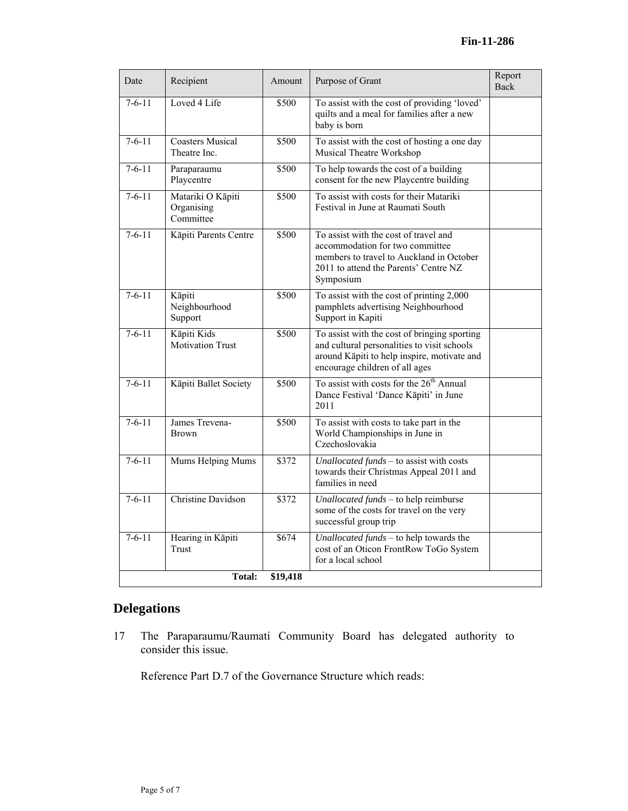| Date         | Recipient                                    | Amount | Purpose of Grant                                                                                                                                                             | Report<br><b>Back</b> |  |  |  |
|--------------|----------------------------------------------|--------|------------------------------------------------------------------------------------------------------------------------------------------------------------------------------|-----------------------|--|--|--|
| $7-6-11$     | Loved 4 Life                                 | \$500  | To assist with the cost of providing 'loved'<br>quilts and a meal for families after a new<br>baby is born                                                                   |                       |  |  |  |
| $7 - 6 - 11$ | <b>Coasters Musical</b><br>Theatre Inc.      | \$500  | To assist with the cost of hosting a one day<br>Musical Theatre Workshop                                                                                                     |                       |  |  |  |
| $7 - 6 - 11$ | Paraparaumu<br>Playcentre                    | \$500  | To help towards the cost of a building<br>consent for the new Playcentre building                                                                                            |                       |  |  |  |
| $7-6-11$     | Matariki O Kāpiti<br>Organising<br>Committee | \$500  | To assist with costs for their Matariki<br>Festival in June at Raumati South                                                                                                 |                       |  |  |  |
| $7-6-11$     | Kāpiti Parents Centre                        | \$500  | To assist with the cost of travel and<br>accommodation for two committee<br>members to travel to Auckland in October<br>2011 to attend the Parents' Centre NZ<br>Symposium   |                       |  |  |  |
| $7 - 6 - 11$ | Kāpiti<br>Neighbourhood<br>Support           | \$500  | To assist with the cost of printing 2,000<br>pamphlets advertising Neighbourhood<br>Support in Kapiti                                                                        |                       |  |  |  |
| $7 - 6 - 11$ | Kāpiti Kids<br>Motivation Trust              | \$500  | To assist with the cost of bringing sporting<br>and cultural personalities to visit schools<br>around Kāpiti to help inspire, motivate and<br>encourage children of all ages |                       |  |  |  |
| $7 - 6 - 11$ | Kāpiti Ballet Society                        | \$500  | To assist with costs for the 26 <sup>th</sup> Annual<br>Dance Festival 'Dance Kāpiti' in June<br>2011                                                                        |                       |  |  |  |
| $7 - 6 - 11$ | James Trevena-<br><b>Brown</b>               | \$500  | To assist with costs to take part in the<br>World Championships in June in<br>Czechoslovakia                                                                                 |                       |  |  |  |
| $7-6-11$     | Mums Helping Mums                            | \$372  | Unallocated funds - to assist with costs<br>towards their Christmas Appeal 2011 and<br>families in need                                                                      |                       |  |  |  |
| $7 - 6 - 11$ | <b>Christine Davidson</b>                    | \$372  | Unallocated funds - to help reimburse<br>some of the costs for travel on the very<br>successful group trip                                                                   |                       |  |  |  |
| $7 - 6 - 11$ | Hearing in Kāpiti<br>Trust                   | \$674  | Unallocated funds $-$ to help towards the<br>cost of an Oticon FrontRow ToGo System<br>for a local school                                                                    |                       |  |  |  |
|              | <b>Total:</b><br>\$19,418                    |        |                                                                                                                                                                              |                       |  |  |  |

# **Delegations**

17 The Paraparaumu/Raumati Community Board has delegated authority to consider this issue.

Reference Part D.7 of the Governance Structure which reads: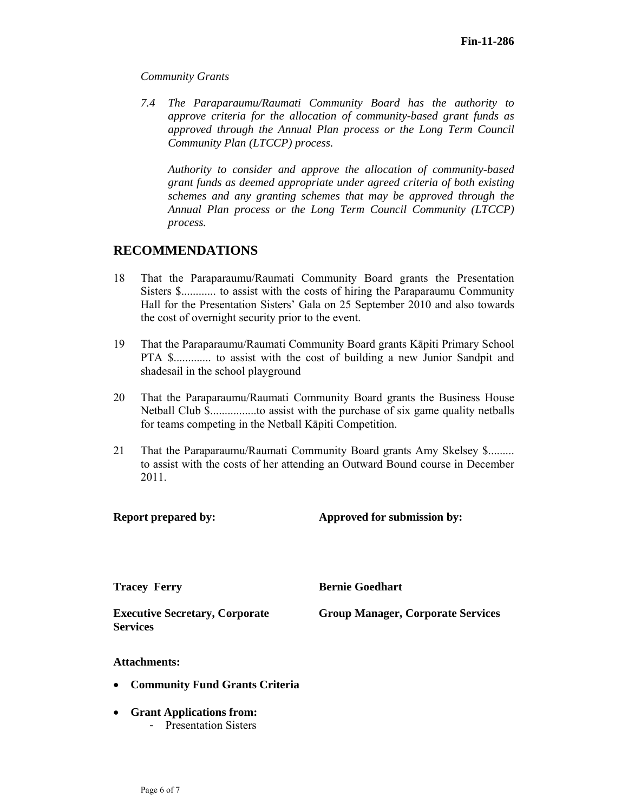#### *Community Grants*

*7.4 The Paraparaumu/Raumati Community Board has the authority to approve criteria for the allocation of community-based grant funds as approved through the Annual Plan process or the Long Term Council Community Plan (LTCCP) process.* 

*Authority to consider and approve the allocation of community-based grant funds as deemed appropriate under agreed criteria of both existing schemes and any granting schemes that may be approved through the Annual Plan process or the Long Term Council Community (LTCCP) process.* 

# **RECOMMENDATIONS**

- 18 That the Paraparaumu/Raumati Community Board grants the Presentation Sisters \$............ to assist with the costs of hiring the Paraparaumu Community Hall for the Presentation Sisters' Gala on 25 September 2010 and also towards the cost of overnight security prior to the event.
- 19 That the Paraparaumu/Raumati Community Board grants Kāpiti Primary School PTA \$............. to assist with the cost of building a new Junior Sandpit and shadesail in the school playground
- 20 That the Paraparaumu/Raumati Community Board grants the Business House Netball Club \$................to assist with the purchase of six game quality netballs for teams competing in the Netball Kāpiti Competition.
- 21 That the Paraparaumu/Raumati Community Board grants Amy Skelsey \$......... to assist with the costs of her attending an Outward Bound course in December 2011.

**Report prepared by:** Approved for submission by:

**Tracey Ferry Bernie Goedhart** 

**Executive Secretary, Corporate Services** 

**Group Manager, Corporate Services** 

#### **Attachments:**

- **Community Fund Grants Criteria**
- **Grant Applications from:** 
	- Presentation Sisters